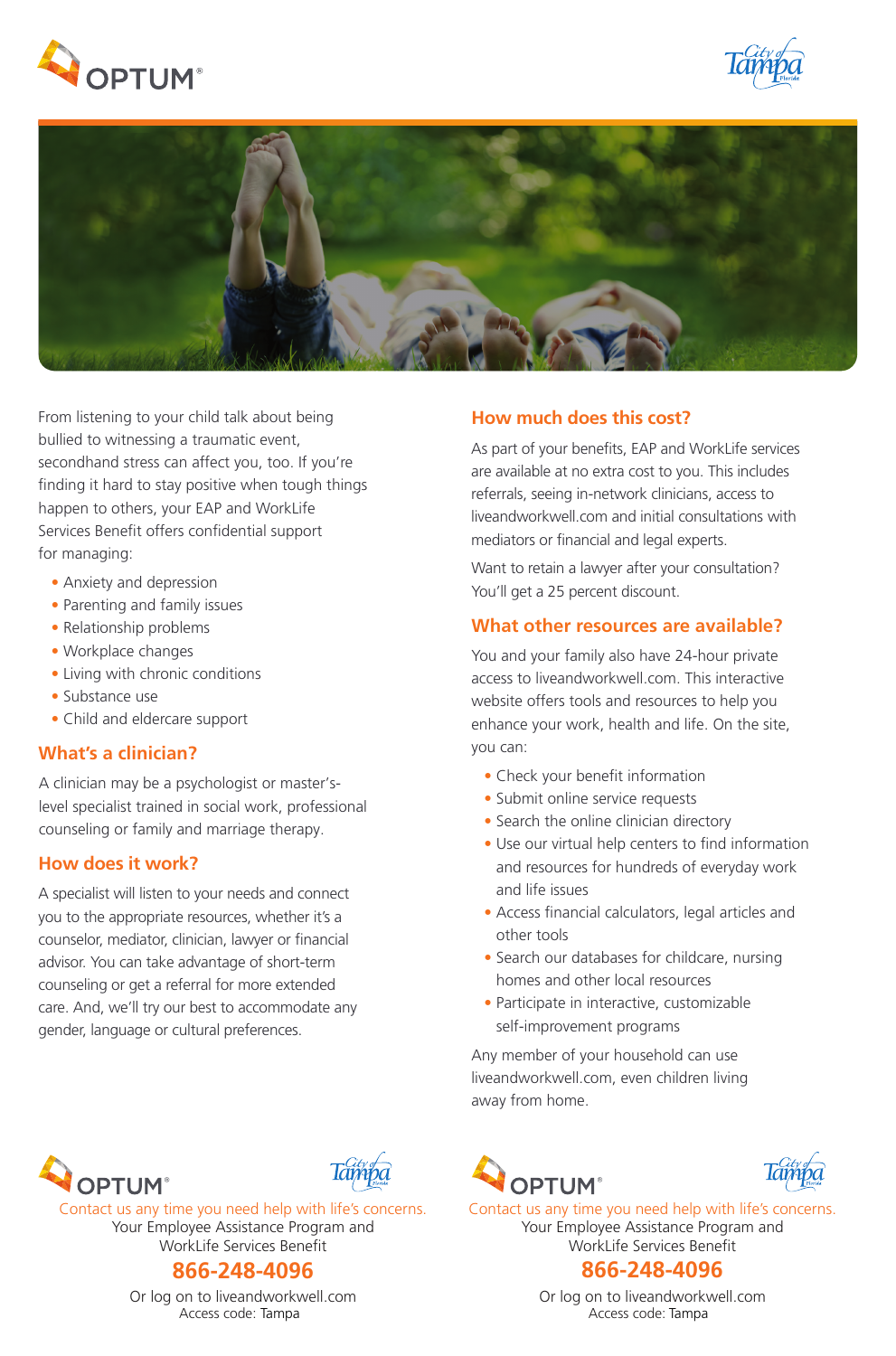





From listening to your child talk about being bullied to witnessing a traumatic event, secondhand stress can affect you, too. If you're finding it hard to stay positive when tough things happen to others, your EAP and WorkLife Services Benefit offers confidential support for managing:

- Anxiety and depression
- Parenting and family issues
- Relationship problems
- Workplace changes
- Living with chronic conditions
- Substance use
- Child and eldercare support

## **What's a clinician?**

A clinician may be a psychologist or master'slevel specialist trained in social work, professional counseling or family and marriage therapy.

## **How does it work?**

A specialist will listen to your needs and connect you to the appropriate resources, whether it's a counselor, mediator, clinician, lawyer or financial advisor. You can take advantage of short-term counseling or get a referral for more extended care. And, we'll try our best to accommodate any gender, language or cultural preferences.

## **How much does this cost?**

As part of your benefits, EAP and WorkLife services are available at no extra cost to you. This includes referrals, seeing in-network clinicians, access to liveandworkwell.com and initial consultations with mediators or financial and legal experts.

Want to retain a lawyer after your consultation? You'll get a 25 percent discount.

# **What other resources are available?**

You and your family also have 24-hour private access to liveandworkwell.com. This interactive website offers tools and resources to help you enhance your work, health and life. On the site, you can:

- Check your benefit information
- Submit online service requests
- Search the online clinician directory
- Use our virtual help centers to find information and resources for hundreds of everyday work and life issues
- Access financial calculators, legal articles and other tools
- Search our databases for childcare, nursing homes and other local resources
- Participate in interactive, customizable self-improvement programs

Any member of your household can use liveandworkwell.com, even children living away from home.





Or log on to liveandworkwell.com Access code: Tampa





Contact us any time you need help with life's concerns. Your Employee Assistance Program and WorkLife Services Benefit

# **866-248-4096 866-248-4096**

Or log on to liveandworkwell.com Access code: **Tampa Tampa**